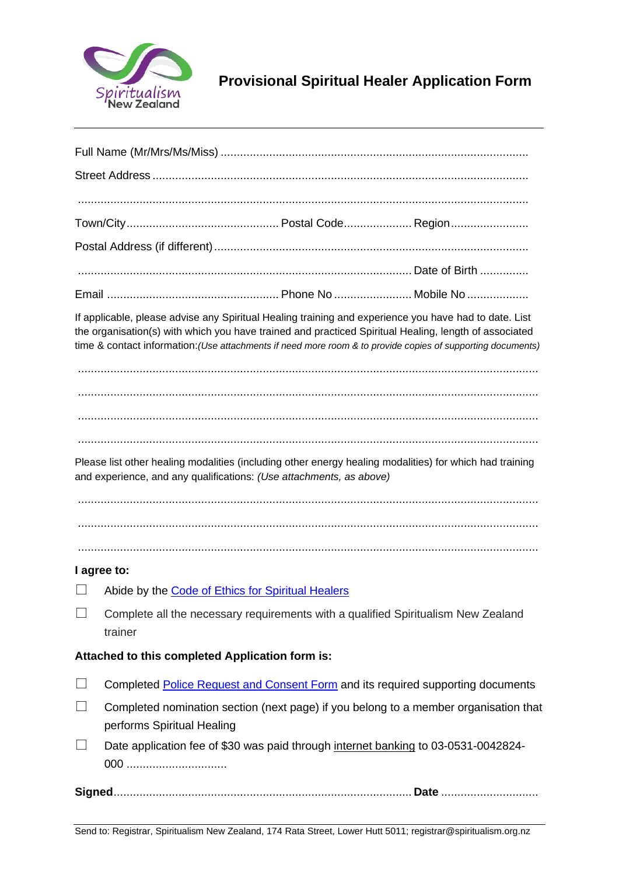

# **Provisional Spiritual Healer Application Form**

| If applicable, please advise any Spiritual Healing training and experience you have had to date. List<br>the organisation(s) with which you have trained and practiced Spiritual Healing, length of associated<br>time & contact information: (Use attachments if need more room & to provide copies of supporting documents) |                                                                                                                    |  |  |  |
|-------------------------------------------------------------------------------------------------------------------------------------------------------------------------------------------------------------------------------------------------------------------------------------------------------------------------------|--------------------------------------------------------------------------------------------------------------------|--|--|--|
|                                                                                                                                                                                                                                                                                                                               |                                                                                                                    |  |  |  |
| Please list other healing modalities (including other energy healing modalities) for which had training<br>and experience, and any qualifications: (Use attachments, as above)                                                                                                                                                |                                                                                                                    |  |  |  |
|                                                                                                                                                                                                                                                                                                                               |                                                                                                                    |  |  |  |
|                                                                                                                                                                                                                                                                                                                               |                                                                                                                    |  |  |  |
|                                                                                                                                                                                                                                                                                                                               | I agree to:                                                                                                        |  |  |  |
|                                                                                                                                                                                                                                                                                                                               | Abide by the Code of Ethics for Spiritual Healers                                                                  |  |  |  |
|                                                                                                                                                                                                                                                                                                                               | Complete all the necessary requirements with a qualified Spiritualism New Zealand<br>trainer                       |  |  |  |
| Attached to this completed Application form is:                                                                                                                                                                                                                                                                               |                                                                                                                    |  |  |  |
|                                                                                                                                                                                                                                                                                                                               | Completed Police Request and Consent Form and its required supporting documents                                    |  |  |  |
| $\perp$                                                                                                                                                                                                                                                                                                                       | Completed nomination section (next page) if you belong to a member organisation that<br>performs Spiritual Healing |  |  |  |
|                                                                                                                                                                                                                                                                                                                               | Date application fee of \$30 was paid through internet banking to 03-0531-0042824-<br>000                          |  |  |  |
|                                                                                                                                                                                                                                                                                                                               |                                                                                                                    |  |  |  |